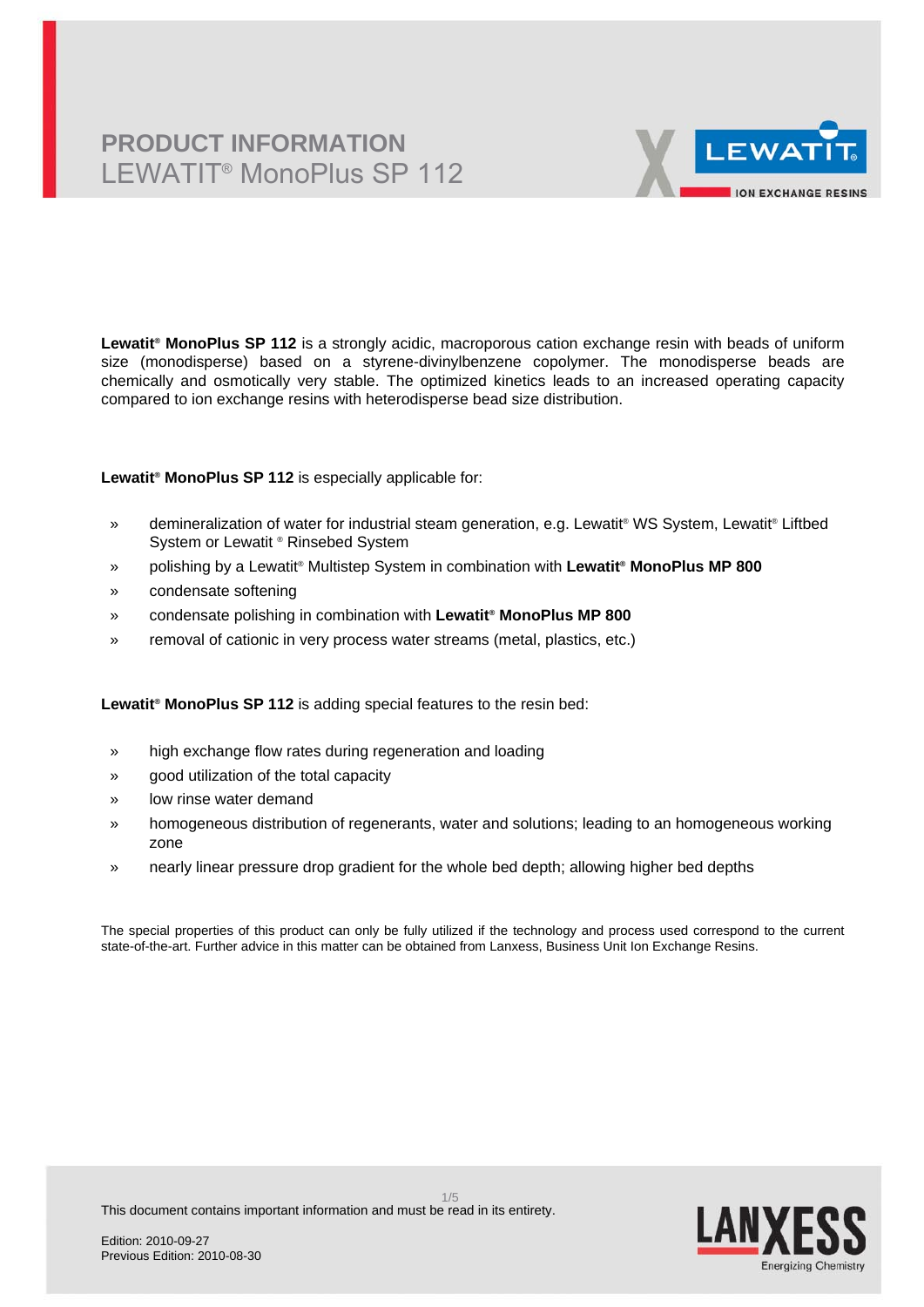# **PRODUCT INFORMATION** LEWATIT® MonoPlus SP 112



**Lewatit® MonoPlus SP 112** is a strongly acidic, macroporous cation exchange resin with beads of uniform size (monodisperse) based on a styrene-divinylbenzene copolymer. The monodisperse beads are chemically and osmotically very stable. The optimized kinetics leads to an increased operating capacity compared to ion exchange resins with heterodisperse bead size distribution.

### **Lewatit® MonoPlus SP 112** is especially applicable for:

- » demineralization of water for industrial steam generation, e.g. Lewatit® WS System, Lewatit® Liftbed System or Lewatit ® Rinsebed System
- » polishing by a Lewatit® Multistep System in combination with **Lewatit® MonoPlus MP 800**
- » condensate softening
- » condensate polishing in combination with **Lewatit® MonoPlus MP 800**
- » removal of cationic in very process water streams (metal, plastics, etc.)

### **Lewatit® MonoPlus SP 112** is adding special features to the resin bed:

- » high exchange flow rates during regeneration and loading
- » good utilization of the total capacity
- » low rinse water demand
- » homogeneous distribution of regenerants, water and solutions; leading to an homogeneous working zone
- » nearly linear pressure drop gradient for the whole bed depth; allowing higher bed depths

The special properties of this product can only be fully utilized if the technology and process used correspond to the current state-of-the-art. Further advice in this matter can be obtained from Lanxess, Business Unit Ion Exchange Resins.

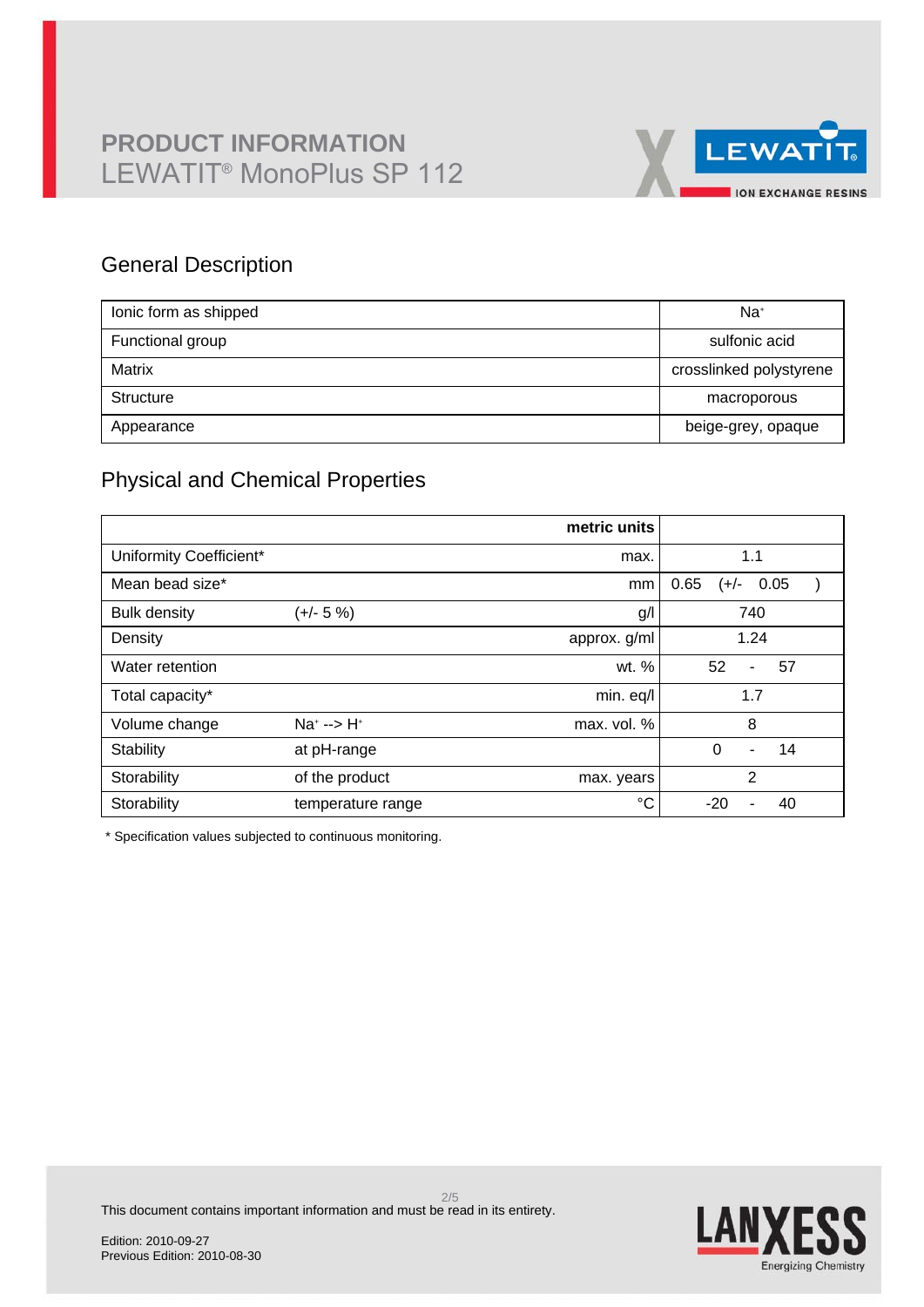

### General Description

| lonic form as shipped | Na <sup>+</sup>         |
|-----------------------|-------------------------|
| Functional group      | sulfonic acid           |
| Matrix                | crosslinked polystyrene |
| Structure             | macroporous             |
| Appearance            | beige-grey, opaque      |

## Physical and Chemical Properties

|                         |                      | metric units |                                  |
|-------------------------|----------------------|--------------|----------------------------------|
| Uniformity Coefficient* |                      | max.         | 1.1                              |
| Mean bead size*         |                      | mm           | 0.65<br>0.05<br>(+/-             |
| <b>Bulk density</b>     | $(+/- 5%)$           | g/           | 740                              |
| Density                 |                      | approx. g/ml | 1.24                             |
| Water retention         |                      | wt. %        | 52<br>57<br>$\blacksquare$       |
| Total capacity*         |                      | min. eq/l    | 1.7                              |
| Volume change           | $Na^{+}$ --> $H^{+}$ | max. vol. %  | 8                                |
| Stability               | at pH-range          |              | $\Omega$<br>14<br>$\blacksquare$ |
| Storability             | of the product       | max. years   | $\overline{2}$                   |
| Storability             | temperature range    | °C           | $-20$<br>40                      |

\* Specification values subjected to continuous monitoring.



This document contains important information and must be read in its entirety.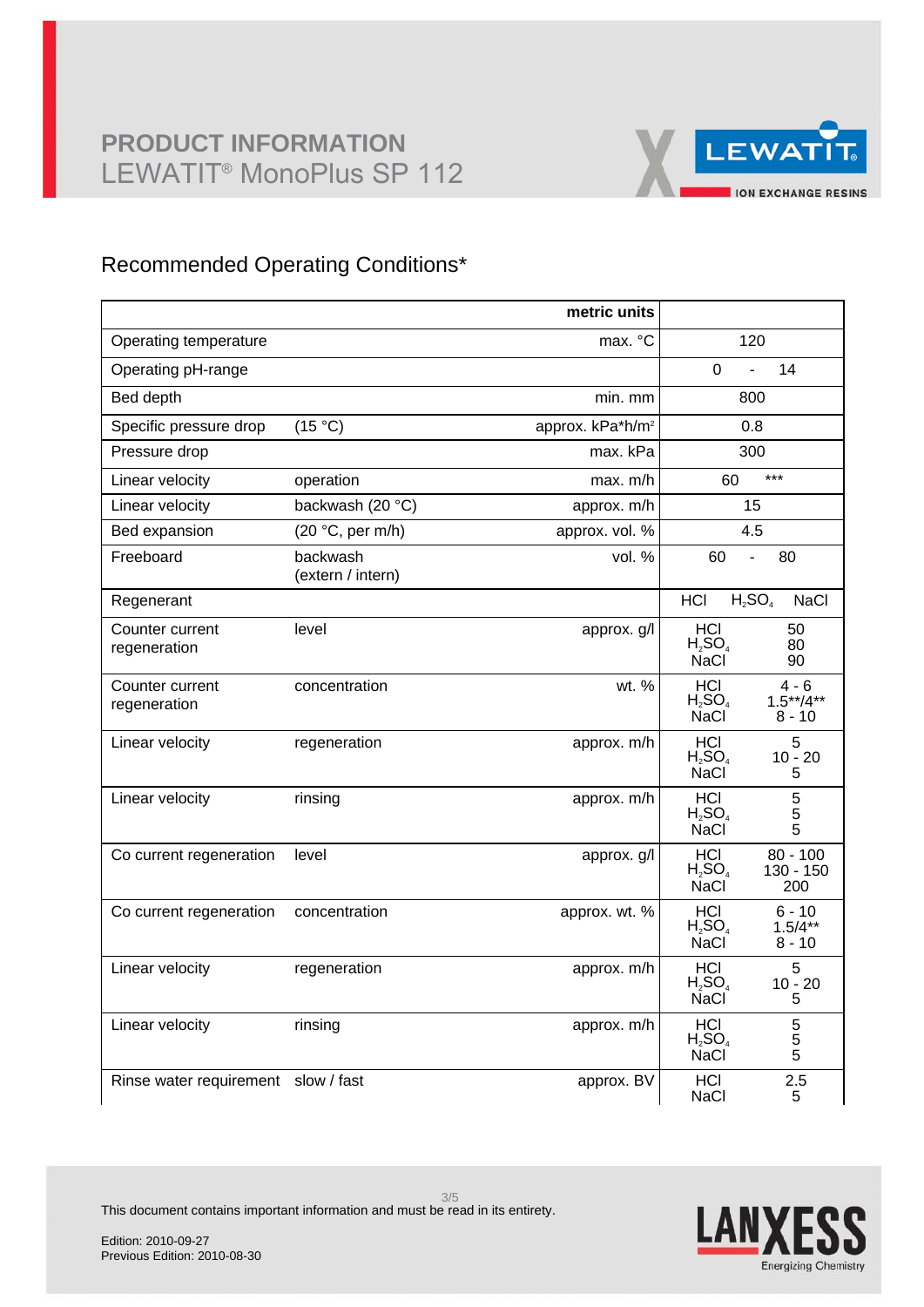

## Recommended Operating Conditions\*

|                                     |                               | metric units                 |                                                                                |
|-------------------------------------|-------------------------------|------------------------------|--------------------------------------------------------------------------------|
| Operating temperature               |                               | max. °C                      | 120                                                                            |
| Operating pH-range                  |                               |                              | 0<br>14<br>$\overline{a}$                                                      |
| Bed depth                           |                               | min. mm                      | 800                                                                            |
| Specific pressure drop              | (15 °C)                       | approx. kPa*h/m <sup>2</sup> | 0.8                                                                            |
| Pressure drop                       |                               | max. kPa                     | 300                                                                            |
| Linear velocity                     | operation                     | max. m/h                     | $***$<br>60                                                                    |
| Linear velocity                     | backwash (20 °C)              | approx. m/h                  | 15                                                                             |
| Bed expansion                       | (20 °C, per m/h)              | approx. vol. %               | 4.5                                                                            |
| Freeboard                           | backwash<br>(extern / intern) | vol. $%$                     | 60<br>80<br>$\overline{a}$                                                     |
| Regenerant                          |                               |                              | $H_2SO_4$<br>HCI<br><b>NaCl</b>                                                |
| Counter current<br>regeneration     | level                         | approx. g/l                  | HCI<br>50<br>$H_2SO_4$<br>80<br><b>NaCl</b><br>90                              |
| Counter current<br>regeneration     | concentration                 | wt. %                        | <b>HCI</b><br>$4 - 6$<br>$1.5***/4***$<br>$H_2SO_4$<br><b>NaCl</b><br>$8 - 10$ |
| Linear velocity                     | regeneration                  | approx. m/h                  | HCI<br>5<br>$H_2SO_4$<br>$10 - 20$<br><b>NaCl</b><br>5                         |
| Linear velocity                     | rinsing                       | approx. m/h                  | 5<br>HCI<br>$H_2SO_4$<br>5<br>5<br><b>NaCl</b>                                 |
| Co current regeneration             | level                         | approx. g/l                  | $80 - 100$<br>HCI<br>$H_2SO_4$<br>130 - 150<br><b>NaCl</b><br>200              |
| Co current regeneration             | concentration                 | approx. wt. %                | <b>HCI</b><br>$6 - 10$<br>$H_2SO_4$<br>$1.5/4**$<br><b>NaCl</b><br>$8 - 10$    |
| Linear velocity                     | regeneration                  | approx. m/h                  | 5<br><b>HCL</b><br>$H_2SO_4$<br>$10 - 20$<br><b>NaCl</b><br>5                  |
| Linear velocity                     | rinsing                       | approx. m/h                  | <b>HCI</b><br>5<br>$H_2SO_4$<br>5<br>NaCl<br>5                                 |
| Rinse water requirement slow / fast |                               | approx. BV                   | 2.5<br>HCI<br><b>NaCl</b><br>5                                                 |



This document contains important information and must be read in its entirety.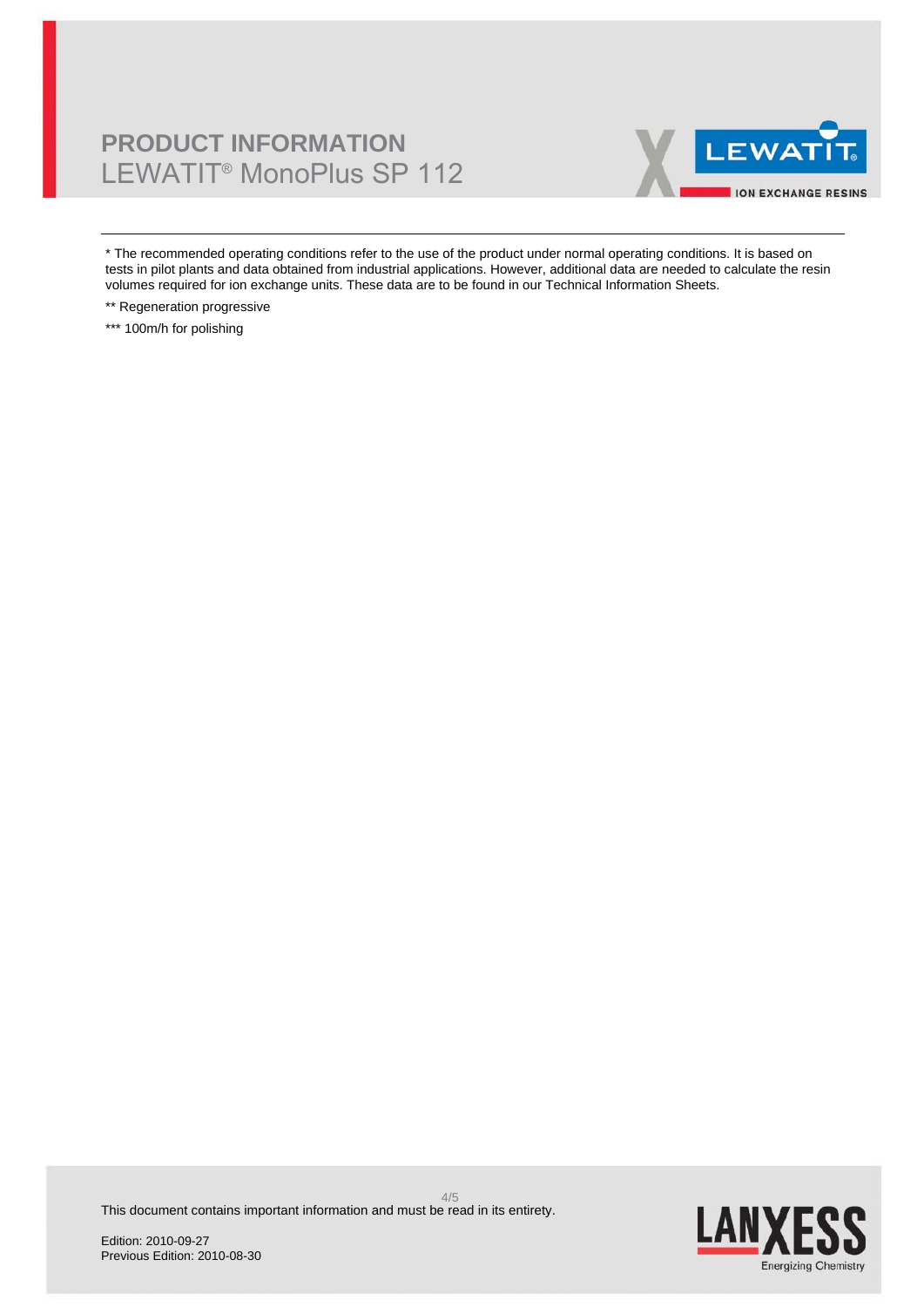# **PRODUCT INFORMATION** LEWATIT® MonoPlus SP 112



\* The recommended operating conditions refer to the use of the product under normal operating conditions. It is based on tests in pilot plants and data obtained from industrial applications. However, additional data are needed to calculate the resin volumes required for ion exchange units. These data are to be found in our Technical Information Sheets.

\*\* Regeneration progressive

\*\*\* 100m/h for polishing

**LAN** Energizing Chemistry